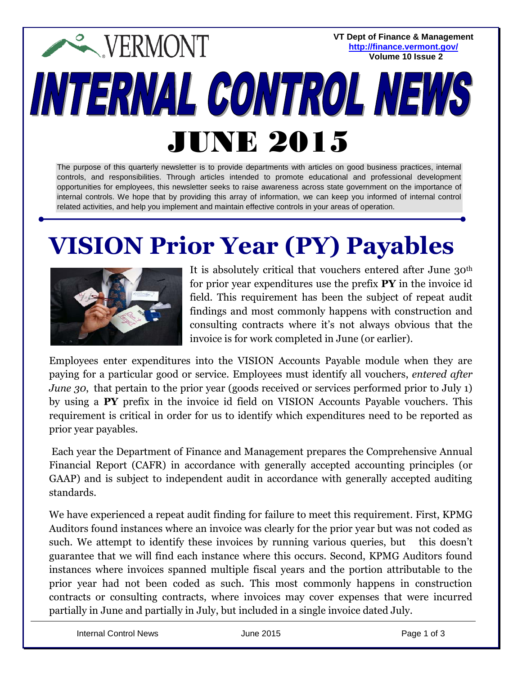**VT Dept of Finance & Management <http://finance.vermont.gov/> Volume 10 Issue 2**

# **EXPERMONT** INTERNAL CONTROL NEWS JUNE 2015

The purpose of this quarterly newsletter is to provide departments with articles on good business practices, internal controls, and responsibilities. Through articles intended to promote educational and professional development opportunities for employees, this newsletter seeks to raise awareness across state government on the importance of internal controls. We hope that by providing this array of information, we can keep you informed of internal control related activities, and help you implement and maintain effective controls in your areas of operation.

### **VISION Prior Year (PY) Payables**



It is absolutely critical that vouchers entered after June 30<sup>th</sup> for prior year expenditures use the prefix **PY** in the invoice id field. This requirement has been the subject of repeat audit findings and most commonly happens with construction and consulting contracts where it's not always obvious that the invoice is for work completed in June (or earlier).

Employees enter expenditures into the VISION Accounts Payable module when they are paying for a particular good or service. Employees must identify all vouchers, *entered after June 30*, that pertain to the prior year (goods received or services performed prior to July 1) by using a **PY** prefix in the invoice id field on VISION Accounts Payable vouchers. This requirement is critical in order for us to identify which expenditures need to be reported as prior year payables.

Each year the Department of Finance and Management prepares the Comprehensive Annual Financial Report (CAFR) in accordance with generally accepted accounting principles (or GAAP) and is subject to independent audit in accordance with generally accepted auditing standards.

We have experienced a repeat audit finding for failure to meet this requirement. First, KPMG Auditors found instances where an invoice was clearly for the prior year but was not coded as such. We attempt to identify these invoices by running various queries, but this doesn't guarantee that we will find each instance where this occurs. Second, KPMG Auditors found instances where invoices spanned multiple fiscal years and the portion attributable to the prior year had not been coded as such. This most commonly happens in construction contracts or consulting contracts, where invoices may cover expenses that were incurred partially in June and partially in July, but included in a single invoice dated July.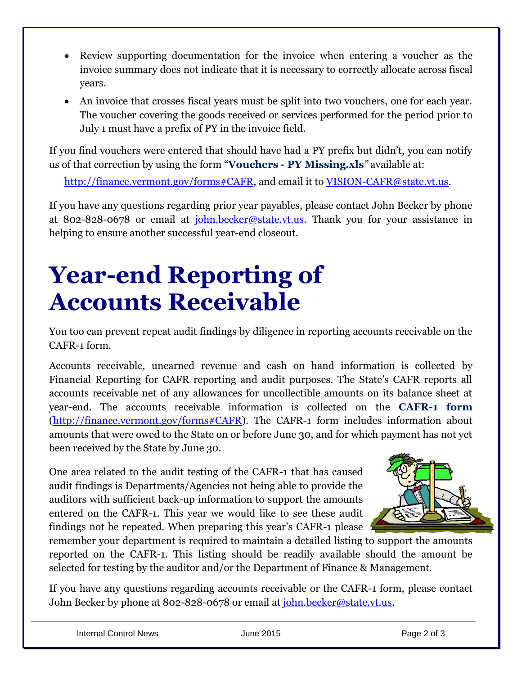- Review supporting documentation for the invoice when entering a voucher as the invoice summary does not indicate that it is necessary to correctly allocate across fiscal years.
- An invoice that crosses fiscal years must be split into two vouchers, one for each year. The voucher covering the goods received or services performed for the period prior to July 1 must have a prefix of PY in the invoice field.

If you find vouchers were entered that should have had a PY prefix but didn't, you can notify us of that correction by using the form "**Vouchers - PY Missing.xls***"* available at:

[http://finance.vermont.gov/forms#CAFR,](http://finance.vermont.gov/forms#CAFR) and email it to [VISION-CAFR@state.vt.us.](mailto:VISION-CAFR@state.vt.us)

If you have any questions regarding prior year payables, please contact John Becker by phone at 802-828-0678 or email at [john.becker@state.vt.us.](mailto:john.becker@state.vt.us) Thank you for your assistance in helping to ensure another successful year-end closeout.

## **Year-end Reporting of Accounts Receivable**

You too can prevent repeat audit findings by diligence in reporting accounts receivable on the CAFR-1 form.

Accounts receivable, unearned revenue and cash on hand information is collected by Financial Reporting for CAFR reporting and audit purposes. The State's CAFR reports all accounts receivable net of any allowances for uncollectible amounts on its balance sheet at year-end. The accounts receivable information is collected on the **CAFR-1 form** [\(http://finance.vermont.gov/forms#CAFR\)](http://finance.vermont.gov/forms#CAFR). The CAFR-1 form includes information about amounts that were owed to the State on or before June 30, and for which payment has not yet been received by the State by June 30.

One area related to the audit testing of the CAFR-1 that has caused audit findings is Departments/Agencies not being able to provide the auditors with sufficient back-up information to support the amounts entered on the CAFR-1. This year we would like to see these audit findings not be repeated. When preparing this year's CAFR-1 please



remember your department is required to maintain a detailed listing to support the amounts reported on the CAFR-1. This listing should be readily available should the amount be selected for testing by the auditor and/or the Department of Finance & Management.

If you have any questions regarding accounts receivable or the CAFR-1 form, please contact John Becker by phone at 802-828-0678 or email at <u>john.becker@state.vt.us</u>.